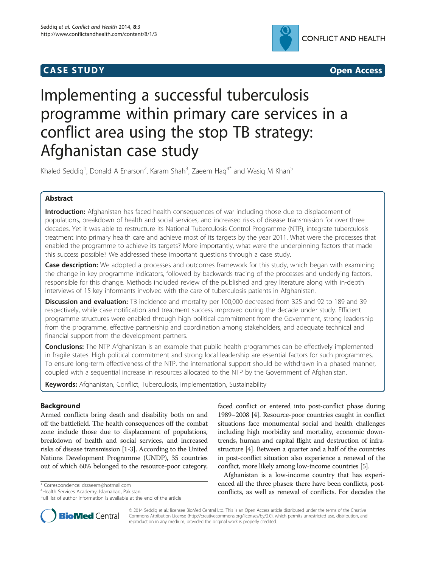## **CASE STUDY CASE STUDY Open Access**





# Implementing a successful tuberculosis programme within primary care services in a conflict area using the stop TB strategy: Afghanistan case study

Khaled Seddiq<sup>1</sup>, Donald A Enarson<sup>2</sup>, Karam Shah<sup>3</sup>, Zaeem Haq<sup>4\*</sup> and Wasiq M Khan<sup>5</sup>

## Abstract

Introduction: Afghanistan has faced health consequences of war including those due to displacement of populations, breakdown of health and social services, and increased risks of disease transmission for over three decades. Yet it was able to restructure its National Tuberculosis Control Programme (NTP), integrate tuberculosis treatment into primary health care and achieve most of its targets by the year 2011. What were the processes that enabled the programme to achieve its targets? More importantly, what were the underpinning factors that made this success possible? We addressed these important questions through a case study.

Case description: We adopted a processes and outcomes framework for this study, which began with examining the change in key programme indicators, followed by backwards tracing of the processes and underlying factors, responsible for this change. Methods included review of the published and grey literature along with in-depth interviews of 15 key informants involved with the care of tuberculosis patients in Afghanistan.

Discussion and evaluation: TB incidence and mortality per 100,000 decreased from 325 and 92 to 189 and 39 respectively, while case notification and treatment success improved during the decade under study. Efficient programme structures were enabled through high political commitment from the Government, strong leadership from the programme, effective partnership and coordination among stakeholders, and adequate technical and financial support from the development partners.

**Conclusions:** The NTP Afghanistan is an example that public health programmes can be effectively implemented in fragile states. High political commitment and strong local leadership are essential factors for such programmes. To ensure long-term effectiveness of the NTP, the international support should be withdrawn in a phased manner, coupled with a sequential increase in resources allocated to the NTP by the Government of Afghanistan.

Keywords: Afghanistan, Conflict, Tuberculosis, Implementation, Sustainability

## Background

Armed conflicts bring death and disability both on and off the battlefield. The health consequences off the combat zone include those due to displacement of populations, breakdown of health and social services, and increased risks of disease transmission [[1](#page-7-0)-[3\]](#page-7-0). According to the United Nations Development Programme (UNDP), 35 countries out of which 60% belonged to the resource-poor category,

\* Correspondence: [drzaeem@hotmail.com](mailto:drzaeem@hotmail.com) <sup>4</sup>

<sup>4</sup>Health Services Academy, Islamabad, Pakistan

faced conflict or entered into post-conflict phase during 1989–2008 [[4\]](#page-7-0). Resource-poor countries caught in conflict situations face monumental social and health challenges including high morbidity and mortality, economic downtrends, human and capital flight and destruction of infrastructure [\[4\]](#page-7-0). Between a quarter and a half of the countries in post-conflict situation also experience a renewal of the conflict, more likely among low-income countries [\[5\]](#page-7-0).

Afghanistan is a low-income country that has experienced all the three phases: there have been conflicts, postconflicts, as well as renewal of conflicts. For decades the



© 2014 Seddiq et al.; licensee BioMed Central Ltd. This is an Open Access article distributed under the terms of the Creative Commons Attribution License [\(http://creativecommons.org/licenses/by/2.0\)](http://creativecommons.org/licenses/by/2.0), which permits unrestricted use, distribution, and reproduction in any medium, provided the original work is properly credited.

Full list of author information is available at the end of the article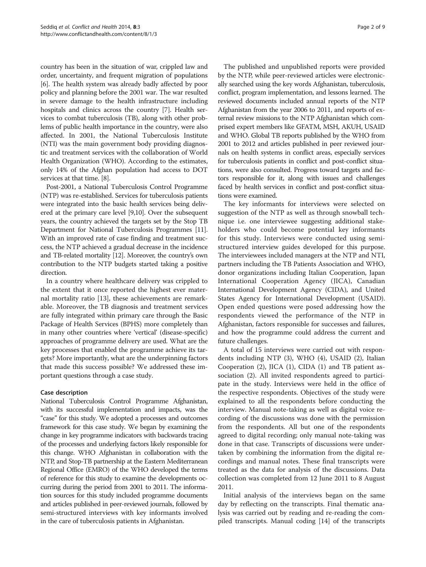country has been in the situation of war, crippled law and order, uncertainty, and frequent migration of populations [[6\]](#page-7-0). The health system was already badly affected by poor policy and planning before the 2001 war. The war resulted in severe damage to the health infrastructure including hospitals and clinics across the country [[7\]](#page-7-0). Health services to combat tuberculosis (TB), along with other problems of public health importance in the country, were also affected. In 2001, the National Tuberculosis Institute (NTI) was the main government body providing diagnostic and treatment services with the collaboration of World Health Organization (WHO). According to the estimates, only 14% of the Afghan population had access to DOT services at that time. [[8](#page-7-0)].

Post-2001, a National Tuberculosis Control Programme (NTP) was re-established. Services for tuberculosis patients were integrated into the basic health services being delivered at the primary care level [\[9,10\]](#page-7-0). Over the subsequent years, the country achieved the targets set by the Stop TB Department for National Tuberculosis Programmes [[11](#page-7-0)]. With an improved rate of case finding and treatment success, the NTP achieved a gradual decrease in the incidence and TB-related mortality [\[12\]](#page-7-0). Moreover, the country's own contribution to the NTP budgets started taking a positive direction.

In a country where healthcare delivery was crippled to the extent that it once reported the highest ever maternal mortality ratio [\[13](#page-7-0)], these achievements are remarkable. Moreover, the TB diagnosis and treatment services are fully integrated within primary care through the Basic Package of Health Services (BPHS) more completely than in many other countries where 'vertical' (disease-specific) approaches of programme delivery are used. What are the key processes that enabled the programme achieve its targets? More importantly, what are the underpinning factors that made this success possible? We addressed these important questions through a case study.

## Case description

National Tuberculosis Control Programme Afghanistan, with its successful implementation and impacts, was the "case" for this study. We adopted a processes and outcomes framework for this case study. We began by examining the change in key programme indicators with backwards tracing of the processes and underlying factors likely responsible for this change. WHO Afghanistan in collaboration with the NTP, and Stop-TB partnership at the Eastern Mediterranean Regional Office (EMRO) of the WHO developed the terms of reference for this study to examine the developments occurring during the period from 2001 to 2011. The information sources for this study included programme documents and articles published in peer-reviewed journals, followed by semi-structured interviews with key informants involved in the care of tuberculosis patients in Afghanistan.

The published and unpublished reports were provided by the NTP, while peer-reviewed articles were electronically searched using the key words Afghanistan, tuberculosis, conflict, program implementation, and lessons learned. The reviewed documents included annual reports of the NTP Afghanistan from the year 2006 to 2011, and reports of external review missions to the NTP Afghanistan which comprised expert members like GFATM, MSH, AKUH, USAID and WHO. Global TB reports published by the WHO from 2001 to 2012 and articles published in peer reviewed journals on health systems in conflict areas, especially services for tuberculosis patients in conflict and post-conflict situations, were also consulted. Progress toward targets and factors responsible for it, along with issues and challenges faced by health services in conflict and post-conflict situations were examined.

The key informants for interviews were selected on suggestion of the NTP as well as through snowball technique i.e. one interviewee suggesting additional stakeholders who could become potential key informants for this study. Interviews were conducted using semistructured interview guides developed for this purpose. The interviewees included managers at the NTP and NTI, partners including the TB Patients Association and WHO, donor organizations including Italian Cooperation, Japan International Cooperation Agency (JICA), Canadian International Development Agency (CIDA), and United States Agency for International Development (USAID). Open ended questions were posed addressing how the respondents viewed the performance of the NTP in Afghanistan, factors responsible for successes and failures, and how the programme could address the current and future challenges.

A total of 15 interviews were carried out with respondents including NTP (3), WHO (4), USAID (2), Italian Cooperation (2), JICA (1), CIDA (1) and TB patient association (2). All invited respondents agreed to participate in the study. Interviews were held in the office of the respective respondents. Objectives of the study were explained to all the respondents before conducting the interview. Manual note-taking as well as digital voice recording of the discussions was done with the permission from the respondents. All but one of the respondents agreed to digital recording; only manual note-taking was done in that case. Transcripts of discussions were undertaken by combining the information from the digital recordings and manual notes. These final transcripts were treated as the data for analysis of the discussions. Data collection was completed from 12 June 2011 to 8 August 2011.

Initial analysis of the interviews began on the same day by reflecting on the transcripts. Final thematic analysis was carried out by reading and re-reading the compiled transcripts. Manual coding [[14\]](#page-7-0) of the transcripts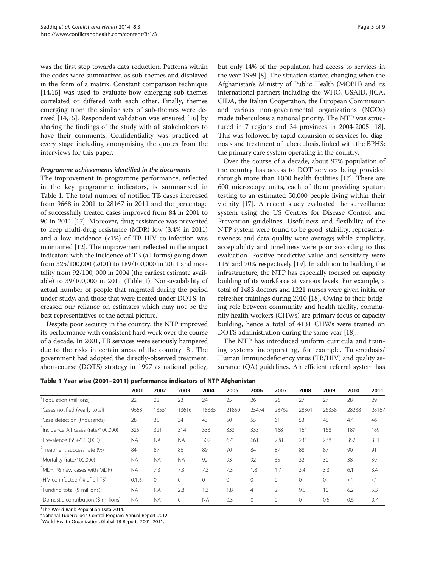<span id="page-2-0"></span>was the first step towards data reduction. Patterns within the codes were summarized as sub-themes and displayed in the form of a matrix. Constant comparison technique [[14,15\]](#page-7-0) was used to evaluate how emerging sub-themes correlated or differed with each other. Finally, themes emerging from the similar sets of sub-themes were derived [\[14,15](#page-7-0)]. Respondent validation was ensured [[16\]](#page-7-0) by sharing the findings of the study with all stakeholders to have their comments. Confidentiality was practiced at every stage including anonymising the quotes from the interviews for this paper.

### Programme achievements identified in the documents

The improvement in programme performance, reflected in the key programme indicators, is summarised in Table 1. The total number of notified TB cases increased from 9668 in 2001 to 28167 in 2011 and the percentage of successfully treated cases improved from 84 in 2001 to 90 in 2011 [\[17\]](#page-7-0). Moreover, drug resistance was prevented to keep multi-drug resistance (MDR) low (3.4% in 2011) and a low incidence  $\langle$ <1%) of TB-HIV co-infection was maintained [\[12\]](#page-7-0). The improvement reflected in the impact indicators with the incidence of TB (all forms) going down from 325/100,000 (2001) to 189/100,000 in 2011 and mortality from 92/100, 000 in 2004 (the earliest estimate available) to 39/100,000 in 2011 (Table 1). Non-availability of actual number of people that migrated during the period under study, and those that were treated under DOTS, increased our reliance on estimates which may not be the best representatives of the actual picture.

Despite poor security in the country, the NTP improved its performance with consistent hard work over the course of a decade. In 2001, TB services were seriously hampered due to the risks in certain areas of the country [[8](#page-7-0)]. The government had adopted the directly-observed treatment, short-course (DOTS) strategy in 1997 as national policy,

but only 14% of the population had access to services in the year 1999 [\[8](#page-7-0)]. The situation started changing when the Afghanistan's Ministry of Public Health (MOPH) and its international partners including the WHO, USAID, JICA, CIDA, the Italian Cooperation, the European Commission and various non-governmental organizations (NGOs) made tuberculosis a national priority. The NTP was structured in 7 regions and 34 provinces in 2004-2005 [[18](#page-7-0)]. This was followed by rapid expansion of services for diagnosis and treatment of tuberculosis, linked with the BPHS; the primary care system operating in the country.

Over the course of a decade, about 97% population of the country has access to DOT services being provided through more than 1000 health facilities [[17](#page-7-0)]. There are 600 microscopy units, each of them providing sputum testing to an estimated 50,000 people living within their vicinity [\[17\]](#page-7-0). A recent study evaluated the surveillance system using the US Centres for Disease Control and Prevention guidelines. Usefulness and flexibility of the NTP system were found to be good; stability, representativeness and data quality were average; while simplicity, acceptability and timeliness were poor according to this evaluation. Positive predictive value and sensitivity were 11% and 70% respectively [[19](#page-7-0)]. In addition to building the infrastructure, the NTP has especially focused on capacity building of its workforce at various levels. For example, a total of 1483 doctors and 1221 nurses were given initial or refresher trainings during 2010 [[18](#page-7-0)]. Owing to their bridging role between community and health facility, community health workers (CHWs) are primary focus of capacity building, hence a total of 4131 CHWs were trained on DOTS administration during the same year [\[18\]](#page-7-0).

The NTP has introduced uniform curricula and training systems incorporating, for example, Tuberculosis/ Human Immunodeficiency virus (TB/HIV) and quality assurance (QA) guidelines. An efficient referral system has

|                                 | 2001                | 2002      | 2003          | 2004    | 2005      | 2006      | 2007 | 2008 | 2009     | 2010     | 2011   |
|---------------------------------|---------------------|-----------|---------------|---------|-----------|-----------|------|------|----------|----------|--------|
| (millions)<br>'Popu<br>ulation. | $\sim$<br><u>__</u> | <u>__</u> | --<br>ت<br>-- | ١4<br>_ | <u>__</u> | ZO<br>$-$ | ΖO   |      | <u>_</u> | 28<br>__ | $\sim$ |

Table 1 Year wise (2001–2011) performance indicators of NTP Afghanistan

|           |           |           |           |              |          |          |              |       |       | 2 U I I  |
|-----------|-----------|-----------|-----------|--------------|----------|----------|--------------|-------|-------|----------|
| 22        | 22        | 23        | 24        | 25           | 26       | 26       | 27           | 27    | 28    | 29       |
| 9668      | 13551     | 13616     | 18385     | 21850        | 25474    | 28769    | 28301        | 26358 | 28238 | 28167    |
| 28        | 35        | 34        | 43        | 50           | 55       | 61       | 53           | 48    | 47    | 46       |
| 325       | 321       | 314       | 333       | 333          | 333      | 168      | 161          | 168   | 189   | 189      |
| <b>NA</b> | <b>NA</b> | <b>NA</b> | 302       | 671          | 661      | 288      | 231          | 238   | 352   | 351      |
| 84        | 87        | 86        | 89        | 90           | 84       | 87       | 88           | 87    | 90    | 91       |
| <b>NA</b> | <b>NA</b> | <b>NA</b> | 92        | 93           | 92       | 35       | 32           | 30    | 38    | 39       |
| <b>NA</b> | 7.3       | 7.3       | 7.3       | 7.3          | 1.8      | 1.7      | 3.4          | 3.3   | 6.1   | 3.4      |
| 0.1%      | $\Omega$  | 0         | $\circ$   | $\mathbf{0}$ | $\Omega$ | $\Omega$ | $\mathbf{0}$ | 0     | <1    | $\leq$ 1 |
| <b>NA</b> | <b>NA</b> | 2.8       | 1.3       | 1.8          | 4        | 2        | 9.5          | 10    | 6.2   | 5.3      |
| <b>NA</b> | <b>NA</b> | 0         | <b>NA</b> | 0.3          | $\Omega$ | $\Omega$ | $\mathbf{0}$ | 0.5   | 0.6   | 0.7      |
|           | zvv i     | ZUUZ      | zuuj      | ∠∪∪⊣         | ∠∪∪      | zuu      | 2007         | zuuo  | 2002  | 20 I V   |

<sup>1</sup>The World Bank Population Data 2014.

2 National Tuberculosis Control Program Annual Report 2012.

3 World Health Organization, Global TB Reports 2001–2011.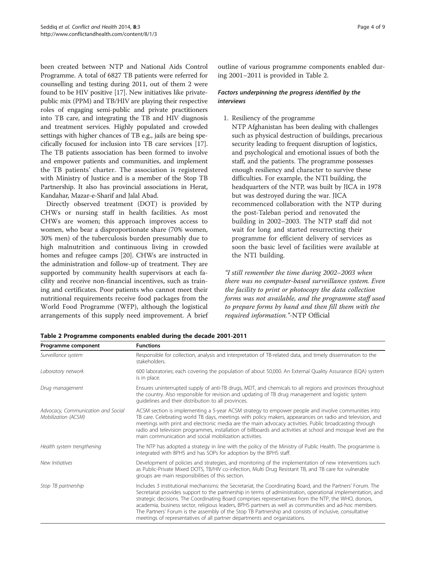been created between NTP and National Aids Control Programme. A total of 6827 TB patients were referred for counselling and testing during 2011, out of them 2 were found to be HIV positive [[17\]](#page-7-0). New initiatives like privatepublic mix (PPM) and TB/HIV are playing their respective roles of engaging semi-public and private practitioners into TB care, and integrating the TB and HIV diagnosis and treatment services. Highly populated and crowded settings with higher chances of TB e.g., jails are being specifically focused for inclusion into TB care services [[17](#page-7-0)]. The TB patients association has been formed to involve and empower patients and communities, and implement the TB patients' charter. The association is registered with Ministry of Justice and is a member of the Stop TB Partnership. It also has provincial associations in Herat, Kandahar, Mazar-e-Sharif and Jalal Abad.

Directly observed treatment (DOT) is provided by CHWs or nursing staff in health facilities. As most CHWs are women; this approach improves access to women, who bear a disproportionate share (70% women, 30% men) of the tuberculosis burden presumably due to high malnutrition and continuous living in crowded homes and refugee camps [[20\]](#page-7-0). CHWs are instructed in the administration and follow-up of treatment. They are supported by community health supervisors at each facility and receive non-financial incentives, such as training and certificates. Poor patients who cannot meet their nutritional requirements receive food packages from the World Food Programme (WFP), although the logistical arrangements of this supply need improvement. A brief

outline of various programme components enabled during 2001–2011 is provided in Table 2.

## Factors underpinning the progress identified by the interviews

1. Resiliency of the programme

NTP Afghanistan has been dealing with challenges such as physical destruction of buildings, precarious security leading to frequent disruption of logistics, and psychological and emotional issues of both the staff, and the patients. The programme possesses enough resiliency and character to survive these difficulties. For example, the NTI building, the headquarters of the NTP, was built by JICA in 1978 but was destroyed during the war. JICA recommenced collaboration with the NTP during the post-Taleban period and renovated the building in 2002–2003. The NTP staff did not wait for long and started resurrecting their programme for efficient delivery of services as soon the basic level of facilities were available at the NTI building.

"I still remember the time during 2002–2003 when there was no computer-based surveillance system. Even the facility to print or photocopy the data collection forms was not available, and the programme staff used to prepare forms by hand and then fill them with the required information."-NTP Official

Table 2 Programme components enabled during the decade 2001-2011 Programme component **Functions** 

| Programme component                                       | <b>Functions</b><br>Responsible for collection, analysis and interpretation of TB-related data, and timely dissemination to the<br>stakeholders.                                                                                                                                                                                                                                                                                                                                                                                                                                                                                   |  |  |  |  |  |  |  |
|-----------------------------------------------------------|------------------------------------------------------------------------------------------------------------------------------------------------------------------------------------------------------------------------------------------------------------------------------------------------------------------------------------------------------------------------------------------------------------------------------------------------------------------------------------------------------------------------------------------------------------------------------------------------------------------------------------|--|--|--|--|--|--|--|
| Surveillance system                                       |                                                                                                                                                                                                                                                                                                                                                                                                                                                                                                                                                                                                                                    |  |  |  |  |  |  |  |
| Laboratory network                                        | 600 laboratories; each covering the population of about 50,000. An External Quality Assurance (EQA) system<br>is in place.                                                                                                                                                                                                                                                                                                                                                                                                                                                                                                         |  |  |  |  |  |  |  |
| Drug management                                           | Ensures uninterrupted supply of anti-TB drugs, MDT, and chemicals to all regions and provinces throughout<br>the country. Also responsible for revision and updating of TB drug management and logistic system<br>quidelines and their distribution to all provinces.                                                                                                                                                                                                                                                                                                                                                              |  |  |  |  |  |  |  |
| Advocacy, Communication and Social<br>Mobilization (ACSM) | ACSM section is implementing a 5-year ACSM strategy to empower people and involve communities into<br>TB care. Celebrating world TB days, meetings with policy makers, appearances on radio and television, and<br>meetings with print and electronic media are the main advocacy activities. Public broadcasting through<br>radio and television programmes, installation of billboards and activities at school and mosque level are the<br>main communication and social mobilization activities.                                                                                                                               |  |  |  |  |  |  |  |
| Health system trengthening                                | The NTP has adopted a strategy in line with the policy of the Ministry of Public Health. The programme is<br>integrated with BPHS and has SOPs for adoption by the BPHS staff.                                                                                                                                                                                                                                                                                                                                                                                                                                                     |  |  |  |  |  |  |  |
| New Initiatives                                           | Development of policies and strategies, and monitoring of the implementation of new interventions such<br>as Public-Private Mixed DOTS, TB/HIV co-infection, Multi Drug Resistant TB, and TB care for vulnerable<br>groups are main responsibilities of this section.                                                                                                                                                                                                                                                                                                                                                              |  |  |  |  |  |  |  |
| Stop TB partnership                                       | Includes 3 institutional mechanisms: the Secretariat, the Coordinating Board, and the Partners' Forum. The<br>Secretariat provides support to the partnership in terms of administration, operational implementation, and<br>strategic decisions. The Coordinating Board comprises representatives from the NTP, the WHO, donors,<br>academia, business sector, religious leaders, BPHS partners as well as communities and ad-hoc members.<br>The Partners' Forum is the assembly of the Stop TB Partnership and consists of inclusive, consultative<br>meetings of representatives of all partner departments and organizations. |  |  |  |  |  |  |  |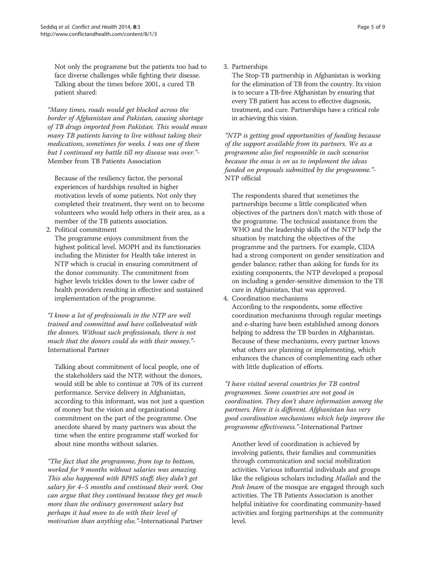Not only the programme but the patients too had to face diverse challenges while fighting their disease. Talking about the times before 2001, a cured TB patient shared:

"Many times, roads would get blocked across the border of Afghanistan and Pakistan, causing shortage of TB drugs imported from Pakistan. This would mean many TB patients having to live without taking their medications, sometimes for weeks. I was one of them but I continued my battle till my disease was over."- Member from TB Patients Association

Because of the resiliency factor, the personal experiences of hardships resulted in higher motivation levels of some patients. Not only they completed their treatment, they went on to become volunteers who would help others in their area, as a member of the TB patients association.

2. Political commitment

The programme enjoys commitment from the highest political level. MOPH and its functionaries including the Minister for Health take interest in NTP which is crucial in ensuring commitment of the donor community. The commitment from higher levels trickles down to the lower cadre of health providers resulting in effective and sustained implementation of the programme.

"I know a lot of professionals in the NTP are well trained and committed and have collaborated with the donors. Without such professionals, there is not much that the donors could do with their money."- International Partner

Talking about commitment of local people, one of the stakeholders said the NTP, without the donors, would still be able to continue at 70% of its current performance. Service delivery in Afghanistan, according to this informant, was not just a question of money but the vision and organizational commitment on the part of the programme. One anecdote shared by many partners was about the time when the entire programme staff worked for about nine months without salaries.

"The fact that the programme, from top to bottom, worked for 9 months without salaries was amazing. This also happened with BPHS staff; they didn't get salary for 4–5 months and continued their work. One can argue that they continued because they get much more than the ordinary government salary but perhaps it had more to do with their level of motivation than anything else."-International Partner

## 3. Partnerships

The Stop-TB partnership in Afghanistan is working for the elimination of TB from the country. Its vision is to secure a TB-free Afghanistan by ensuring that every TB patient has access to effective diagnosis, treatment, and cure. Partnerships have a critical role in achieving this vision.

"NTP is getting good opportunities of funding because of the support available from its partners. We as a programme also feel responsible in such scenarios because the onus is on us to implement the ideas funded on proposals submitted by the programme."- NTP official

The respondents shared that sometimes the partnerships become a little complicated when objectives of the partners don't match with those of the programme. The technical assistance from the WHO and the leadership skills of the NTP help the situation by matching the objectives of the programme and the partners. For example, CIDA had a strong component on gender sensitization and gender balance; rather than asking for funds for its existing components, the NTP developed a proposal on including a gender-sensitive dimension to the TB care in Afghanistan, that was approved.

According to the respondents, some effective coordination mechanisms through regular meetings and e-sharing have been established among donors helping to address the TB burden in Afghanistan. Because of these mechanisms, every partner knows what others are planning or implementing, which enhances the chances of complementing each other with little duplication of efforts.

"I have visited several countries for TB control programmes. Some countries are not good in coordination. They don't share information among the partners. Here it is different. Afghanistan has very good coordination mechanisms which help improve the programme effectiveness."-International Partner

Another level of coordination is achieved by involving patients, their families and communities through communication and social mobilization activities. Various influential individuals and groups like the religious scholars including Mullah and the Pesh Imam of the mosque are engaged through such activities. The TB Patients Association is another helpful initiative for coordinating community-based activities and forging partnerships at the community level.

<sup>4.</sup> Coordination mechanisms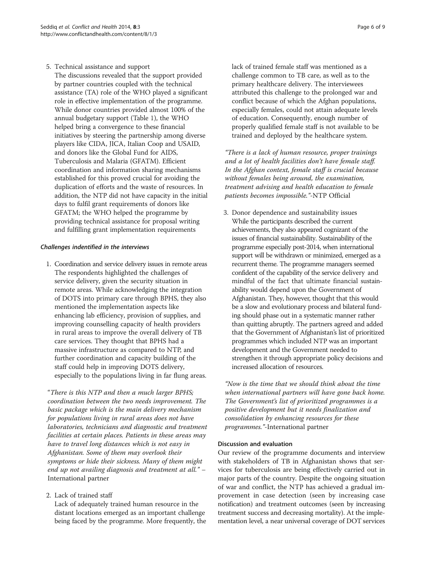5. Technical assistance and support

The discussions revealed that the support provided by partner countries coupled with the technical assistance (TA) role of the WHO played a significant role in effective implementation of the programme. While donor countries provided almost 100% of the annual budgetary support (Table [1](#page-2-0)), the WHO helped bring a convergence to these financial initiatives by steering the partnership among diverse players like CIDA, JICA, Italian Coop and USAID, and donors like the Global Fund for AIDS, Tuberculosis and Malaria (GFATM). Efficient coordination and information sharing mechanisms established for this proved crucial for avoiding the duplication of efforts and the waste of resources. In addition, the NTP did not have capacity in the initial days to fulfil grant requirements of donors like GFATM; the WHO helped the programme by providing technical assistance for proposal writing and fulfilling grant implementation requirements

## Challenges indentified in the interviews

1. Coordination and service delivery issues in remote areas The respondents highlighted the challenges of service delivery, given the security situation in remote areas. While acknowledging the integration of DOTS into primary care through BPHS, they also mentioned the implementation aspects like enhancing lab efficiency, provision of supplies, and improving counselling capacity of health providers in rural areas to improve the overall delivery of TB care services. They thought that BPHS had a massive infrastructure as compared to NTP, and further coordination and capacity building of the staff could help in improving DOTS delivery, especially to the populations living in far flung areas.

"There is this NTP and then a much larger BPHS; coordination between the two needs improvement. The basic package which is the main delivery mechanism for populations living in rural areas does not have laboratories, technicians and diagnostic and treatment facilities at certain places. Patients in these areas may have to travel long distances which is not easy in Afghanistan. Some of them may overlook their symptoms or hide their sickness. Many of them might end up not availing diagnosis and treatment at all." – International partner

2. Lack of trained staff

Lack of adequately trained human resource in the distant locations emerged as an important challenge being faced by the programme. More frequently, the lack of trained female staff was mentioned as a challenge common to TB care, as well as to the primary healthcare delivery. The interviewees attributed this challenge to the prolonged war and conflict because of which the Afghan populations, especially females, could not attain adequate levels of education. Consequently, enough number of properly qualified female staff is not available to be trained and deployed by the healthcare system.

"There is a lack of human resource, proper trainings and a lot of health facilities don't have female staff. In the Afghan context, female staff is crucial because without females being around, the examination, treatment advising and health education to female patients becomes impossible."-NTP Official

3. Donor dependence and sustainability issues While the participants described the current achievements, they also appeared cognizant of the issues of financial sustainability. Sustainability of the programme especially post-2014, when international support will be withdrawn or minimized, emerged as a recurrent theme. The programme managers seemed confident of the capability of the service delivery and mindful of the fact that ultimate financial sustainability would depend upon the Government of Afghanistan. They, however, thought that this would be a slow and evolutionary process and bilateral funding should phase out in a systematic manner rather than quitting abruptly. The partners agreed and added that the Government of Afghanistan's list of prioritized programmes which included NTP was an important development and the Government needed to strengthen it through appropriate policy decisions and increased allocation of resources.

"Now is the time that we should think about the time when international partners will have gone back home. The Government's list of prioritized programmes is a positive development but it needs finalization and consolidation by enhancing resources for these programmes."-International partner

## Discussion and evaluation

Our review of the programme documents and interview with stakeholders of TB in Afghanistan shows that services for tuberculosis are being effectively carried out in major parts of the country. Despite the ongoing situation of war and conflict, the NTP has achieved a gradual improvement in case detection (seen by increasing case notification) and treatment outcomes (seen by increasing treatment success and decreasing mortality). At the implementation level, a near universal coverage of DOT services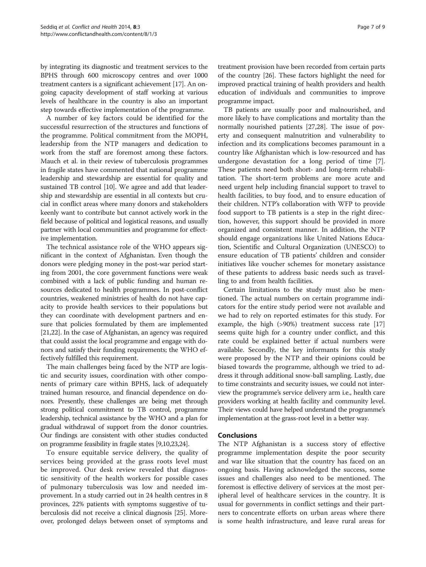by integrating its diagnostic and treatment services to the BPHS through 600 microscopy centres and over 1000 treatment canters is a significant achievement [[17](#page-7-0)]. An ongoing capacity development of staff working at various levels of healthcare in the country is also an important step towards effective implementation of the programme.

A number of key factors could be identified for the successful resurrection of the structures and functions of the programme. Political commitment from the MOPH, leadership from the NTP managers and dedication to work from the staff are foremost among these factors. Mauch et al. in their review of tuberculosis programmes in fragile states have commented that national programme leadership and stewardship are essential for quality and sustained TB control [\[10\]](#page-7-0). We agree and add that leadership and stewardship are essential in all contexts but crucial in conflict areas where many donors and stakeholders keenly want to contribute but cannot actively work in the field because of political and logistical reasons, and usually partner with local communities and programme for effective implementation.

The technical assistance role of the WHO appears significant in the context of Afghanistan. Even though the donors were pledging money in the post-war period starting from 2001, the core government functions were weak combined with a lack of public funding and human resources dedicated to health programmes. In post-conflict countries, weakened ministries of health do not have capacity to provide health services to their populations but they can coordinate with development partners and ensure that policies formulated by them are implemented [[21,22](#page-7-0)]. In the case of Afghanistan, an agency was required that could assist the local programme and engage with donors and satisfy their funding requirements; the WHO effectively fulfilled this requirement.

The main challenges being faced by the NTP are logistic and security issues, coordination with other components of primary care within BPHS, lack of adequately trained human resource, and financial dependence on donors. Presently, these challenges are being met through strong political commitment to TB control, programme leadership, technical assistance by the WHO and a plan for gradual withdrawal of support from the donor countries. Our findings are consistent with other studies conducted on programme feasibility in fragile states [\[9,10](#page-7-0)[,23,24\]](#page-8-0).

To ensure equitable service delivery, the quality of services being provided at the grass roots level must be improved. Our desk review revealed that diagnostic sensitivity of the health workers for possible cases of pulmonary tuberculosis was low and needed improvement. In a study carried out in 24 health centres in 8 provinces, 22% patients with symptoms suggestive of tuberculosis did not receive a clinical diagnosis [[25](#page-8-0)]. Moreover, prolonged delays between onset of symptoms and

treatment provision have been recorded from certain parts of the country [\[26\]](#page-8-0). These factors highlight the need for improved practical training of health providers and health education of individuals and communities to improve programme impact.

TB patients are usually poor and malnourished, and more likely to have complications and mortality than the normally nourished patients [[27,28\]](#page-8-0). The issue of poverty and consequent malnutrition and vulnerability to infection and its complications becomes paramount in a country like Afghanistan which is low-resourced and has undergone devastation for a long period of time [\[7](#page-7-0)]. These patients need both short- and long-term rehabilitation. The short-term problems are more acute and need urgent help including financial support to travel to health facilities, to buy food, and to ensure education of their children. NTP's collaboration with WFP to provide food support to TB patients is a step in the right direction, however, this support should be provided in more organized and consistent manner. In addition, the NTP should engage organizations like United Nations Education, Scientific and Cultural Organization (UNESCO) to ensure education of TB patients' children and consider initiatives like voucher schemes for monetary assistance of these patients to address basic needs such as travelling to and from health facilities.

Certain limitations to the study must also be mentioned. The actual numbers on certain programme indicators for the entire study period were not available and we had to rely on reported estimates for this study. For example, the high (>90%) treatment success rate [[17](#page-7-0)] seems quite high for a country under conflict, and this rate could be explained better if actual numbers were available. Secondly, the key informants for this study were proposed by the NTP and their opinions could be biased towards the programme, although we tried to address it through additional snow-ball sampling. Lastly, due to time constraints and security issues, we could not interview the programme's service delivery arm i.e., health care providers working at health facility and community level. Their views could have helped understand the programme's implementation at the grass-root level in a better way.

## Conclusions

The NTP Afghanistan is a success story of effective programme implementation despite the poor security and war like situation that the country has faced on an ongoing basis. Having acknowledged the success, some issues and challenges also need to be mentioned. The foremost is effective delivery of services at the most peripheral level of healthcare services in the country. It is usual for governments in conflict settings and their partners to concentrate efforts on urban areas where there is some health infrastructure, and leave rural areas for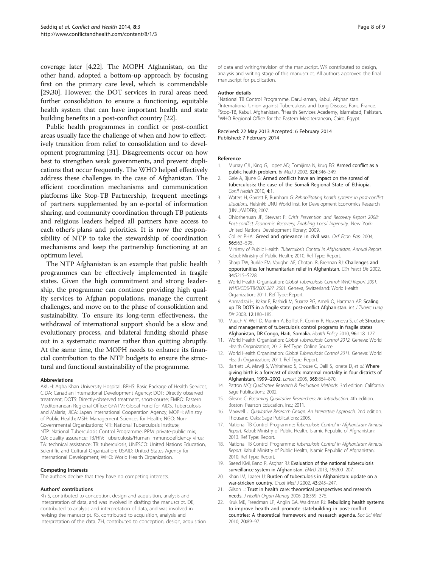<span id="page-7-0"></span>coverage later [4,22]. The MOPH Afghanistan, on the other hand, adopted a bottom-up approach by focusing first on the primary care level, which is commendable [[29,30](#page-8-0)]. However, the DOT services in rural areas need further consolidation to ensure a functioning, equitable health system that can have important health and state building benefits in a post-conflict country [22].

Public health programmes in conflict or post-conflict areas usually face the challenge of when and how to effectively transition from relief to consolidation and to development programming [[31](#page-8-0)]. Disagreements occur on how best to strengthen weak governments, and prevent duplications that occur frequently. The WHO helped effectively address these challenges in the case of Afghanistan. The efficient coordination mechanisms and communication platforms like Stop-TB Partnership, frequent meetings of partners supplemented by an e-portal of information sharing, and community coordination through TB patients and religious leaders helped all partners have access to each other's plans and priorities. It is now the responsibility of NTP to take the stewardship of coordination mechanisms and keep the partnership functioning at an optimum level.

The NTP Afghanistan is an example that public health programmes can be effectively implemented in fragile states. Given the high commitment and strong leadership, the programme can continue providing high quality services to Afghan populations, manage the current challenges, and move on to the phase of consolidation and sustainability. To ensure its long-term effectiveness, the withdrawal of international support should be a slow and evolutionary process, and bilateral funding should phase out in a systematic manner rather than quitting abruptly. At the same time, the MOPH needs to enhance its financial contribution to the NTP budgets to ensure the structural and functional sustainability of the programme.

#### Abbreviations

AKUH: Agha Khan University Hospital; BPHS: Basic Package of Health Services; CIDA: Canadian International Development Agency; DOT: Directly observed treatment; DOTS: Directly-observed treatment, short-course; EMRO: Eastern Mediterranean Regional Office; GFATM: Global Fund for AIDS, Tuberculosis and Malaria; JICA: Japan International Cooperation Agency; MOPH: Ministry of Public Health; MSH: Management Sciences for Health; NGO: Non-Governmental Organizations; NTI: National Tuberculosis Institute; NTP: National Tuberculosis Control Programme; PPM: private-public mix; QA: quality assurance; TB/HIV: Tuberculosis/Human Immunodeficiency virus; TA: technical assistance; TB: tuberculosis; UNESCO: United Nations Education, Scientific and Cultural Organization; USAID: United States Agency for International Development; WHO: World Health Organization.

#### Competing interests

The authors declare that they have no competing interests.

#### Authors' contributions

Kh S, contributed to conception, design and acquisition, analysis and interpretation of data, and was involved in drafting the manuscript. DE, contributed to analysis and interpretation of data, and was involved in revising the manuscript. KS, contributed to acquisition, analysis and interpretation of the data. ZH, contributed to conception, design, acquisition

of data and writing/revision of the manuscript. WK contributed to design, analysis and writing stage of this manuscript. All authors approved the final manuscript for publication.

#### Author details

1 National TB Control Programme, Darul-aman, Kabul, Afghanistan. <sup>2</sup>International Union against Tuberculosis and Lung Disease, Paris, France. <sup>3</sup>Stop-TB, Kabul, Afghanistan. <sup>4</sup>Health Services Academy, Islamabad, Pakistan.<br><sup>5</sup>WHO Begional Office for the Eastern Mediterranean. Cairo Equnt. <sup>5</sup>WHO Regional Office for the Eastern Mediterranean, Cairo, Egypt.

#### Received: 22 May 2013 Accepted: 6 February 2014 Published: 7 February 2014

#### Reference

- Murray CJL, King G, Lopez AD, Tomijima N, Krug EG: Armed conflict as a public health problem. Br Med J 2002, 324:346–349.
- 2. Gele A, Biune G: Armed conflicts have an impact on the spread of tuberculosis: the case of the Somali Regional State of Ethiopia. Confl Health 2010, 4:1.
- 3. Waters H, Garrett B, Burnham G: Rehabilitating health systems in post-conflict situations. Helsinki: UNU World Inst. for Development Economics Research (UNU/WIDER); 2007.
- 4. Ohiorhenuan JF, Stewart F: Crisis Prevention and Recovery Report 2008: Post-conflict Economic Recovery, Enabling Local Ingenuity. New York: United Nations Development library; 2009.
- 5. Collier PHA: Greed and grievance in civil war. Oxf Econ Pap 2004, 56:563–595.
- 6. Ministry of Public Health: Tuberculosis Control in Afghanistan: Annual Report. Kabul: Ministry of Public Health; 2010. Ref Type: Report.
- 7. Sharp TW, Burkle FM, Vaughn AF, Chotani R, Brennan RJ: Challenges and opportunities for humanitarian relief in Afghanistan. Clin Infect Dis 2002, 34:S215–S228.
- 8. World Health Organization: Global Tuberculosis Control: WHO Report 2001. WHO/CDS/TB/2001.287. 2001. Geneva, Switzerland: World Health Organization; 2011. Ref Type: Report.
- 9. Ahmadzai H, Kakar F, Rashidi M, Suarez PG, Ameli O, Hartman AF: Scaling up TB DOTS in a fragile state: post-conflict Afghanistan. Int J Tuberc Lung Dis 2008, 12:180–185.
- 10. Mauch V, Weil D, Munim A, Boillot F, Coninx R, Huseynova S, et al: Structure and management of tuberculosis control programs in fragile states Afghanistan, DR Congo, Haiti, Somalia. Health Policy 2010, 96:118–127.
- 11. World Health Organization: Global Tuberculosis Control 2012. Geneva: World Health Organization; 2012. Ref Type: Online Source.
- 12. World Health Organization: Global Tuberculosis Control 2011. Geneva: World Health Organization; 2011. Ref Type: Report.
- 13. Bartlett LA, Mawji S, Whitehead S, Crouse C, Dalil S, Ionete D, et al: Where giving birth is a forecast of death: maternal mortality in four districts of Afghanistan, 1999−2002. Lancet 2005, 365:864–870.
- 14. Patton MQ: Qualitative Research & Evaluation Methods. 3rd edition. California: Sage Publications; 2002.
- 15. Glesne C: Becoming Qualitative Researchers: An Introduction. 4th edition. Boston: Pearson Education, Inc.; 2011.
- 16. Maxwell J: Qualitative Research Design: An Interactive Approach. 2nd edition. Thousand Oaks: Sage Publications; 2005.
- 17. National TB Control Programme: Tuberculosis Control in Afghanistan: Annual Report. Kabul: Ministry of Public Health, Islamic Republic of Afghanistan; 2013. Ref Type: Report.
- 18. National TB Control Programme: Tuberculosis Control in Afghanistan: Annual Report. Kabul: Ministry of Public Health, Islamic Republic of Afghanistan; 2010. Ref Type: Report.
- 19. Saeed KMI, Bano R, Asghar RJ: Evaluation of the national tuberculosis surveillance system in Afghanistan. EMHJ 2013, 19:200–207.
- 20. Khan IM, Laaser U: Burden of tuberculosis in Afghanistan: update on a war-stricken country. Croat Med J 2002, 43:245–247.
- 21. Gilson L: Trust in health care: theoretical perspectives and research needs. J Health Organ Manag 2006, 20:359–375.
- 22. Kruk ME, Freedman LP, Anglin GA, Waldman RJ: Rebuilding health systems to improve health and promote statebuilding in post-conflict countries: A theoretical framework and research agenda. Soc Sci Med 2010, 70:89–97.